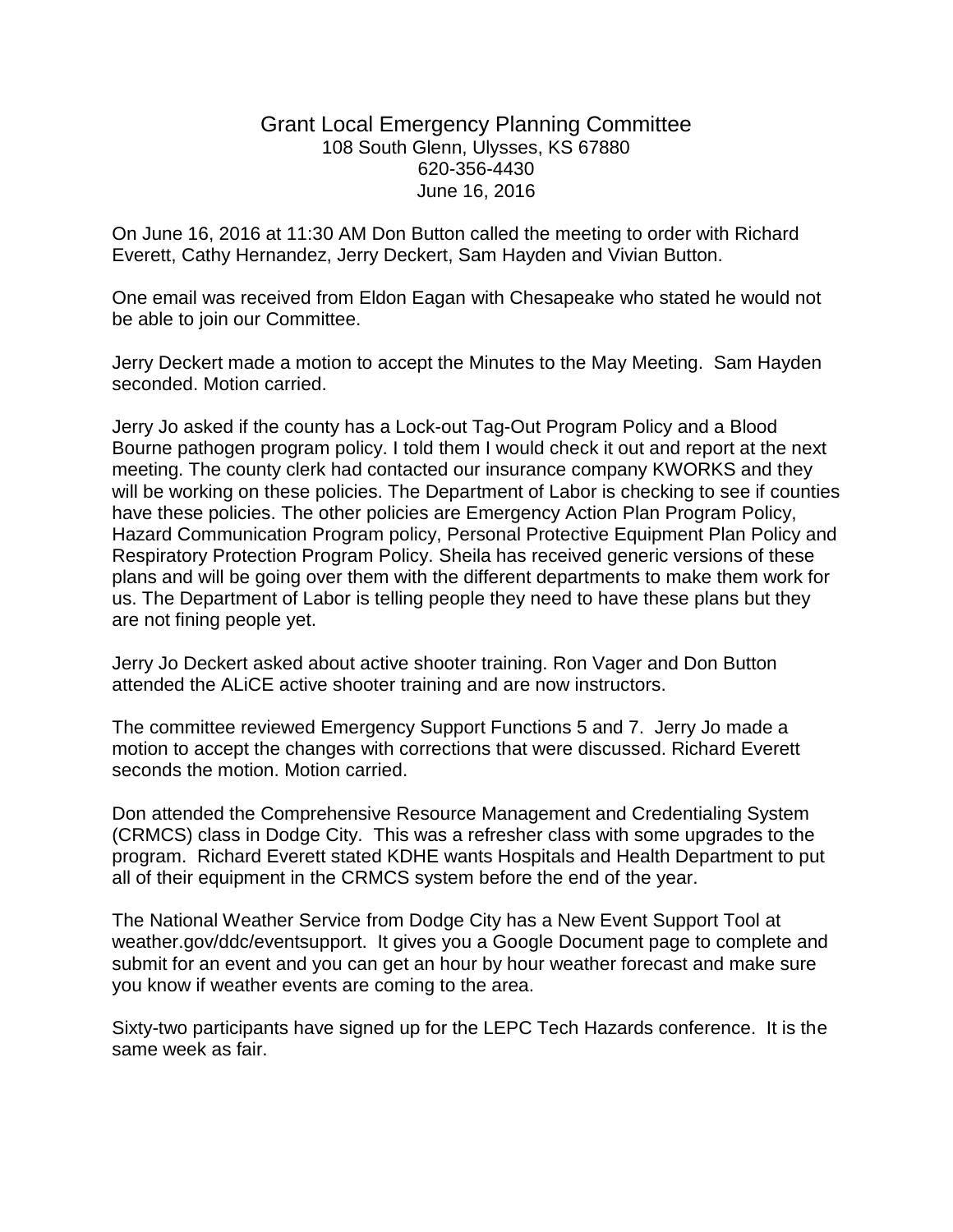## Grant Local Emergency Planning Committee 108 South Glenn, Ulysses, KS 67880 620-356-4430 June 16, 2016

On June 16, 2016 at 11:30 AM Don Button called the meeting to order with Richard Everett, Cathy Hernandez, Jerry Deckert, Sam Hayden and Vivian Button.

One email was received from Eldon Eagan with Chesapeake who stated he would not be able to join our Committee.

Jerry Deckert made a motion to accept the Minutes to the May Meeting. Sam Hayden seconded. Motion carried.

Jerry Jo asked if the county has a Lock-out Tag-Out Program Policy and a Blood Bourne pathogen program policy. I told them I would check it out and report at the next meeting. The county clerk had contacted our insurance company KWORKS and they will be working on these policies. The Department of Labor is checking to see if counties have these policies. The other policies are Emergency Action Plan Program Policy, Hazard Communication Program policy, Personal Protective Equipment Plan Policy and Respiratory Protection Program Policy. Sheila has received generic versions of these plans and will be going over them with the different departments to make them work for us. The Department of Labor is telling people they need to have these plans but they are not fining people yet.

Jerry Jo Deckert asked about active shooter training. Ron Vager and Don Button attended the ALiCE active shooter training and are now instructors.

The committee reviewed Emergency Support Functions 5 and 7. Jerry Jo made a motion to accept the changes with corrections that were discussed. Richard Everett seconds the motion. Motion carried.

Don attended the Comprehensive Resource Management and Credentialing System (CRMCS) class in Dodge City. This was a refresher class with some upgrades to the program. Richard Everett stated KDHE wants Hospitals and Health Department to put all of their equipment in the CRMCS system before the end of the year.

The National Weather Service from Dodge City has a New Event Support Tool at weather.gov/ddc/eventsupport. It gives you a Google Document page to complete and submit for an event and you can get an hour by hour weather forecast and make sure you know if weather events are coming to the area.

Sixty-two participants have signed up for the LEPC Tech Hazards conference. It is the same week as fair.